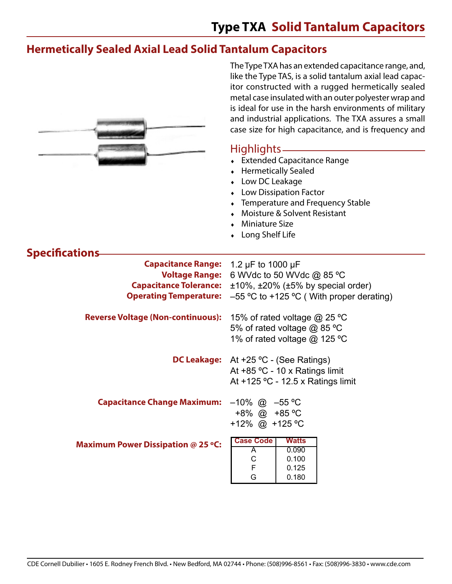The Type TXA has an extended capacitance range, and,

#### **Hermetically Sealed Axial Lead Solid Tantalum Capacitors**

|                                                        | like the Type TAS, is a solid tantalum axial lead capac-<br>itor constructed with a rugged hermetically sealed<br>metal case insulated with an outer polyester wrap and<br>is ideal for use in the harsh environments of military<br>and industrial applications. The TXA assures a small<br>case size for high capacitance, and is frequency and |
|--------------------------------------------------------|---------------------------------------------------------------------------------------------------------------------------------------------------------------------------------------------------------------------------------------------------------------------------------------------------------------------------------------------------|
|                                                        | Highlights -<br>• Extended Capacitance Range<br><b>Hermetically Sealed</b><br>Low DC Leakage<br><b>Low Dissipation Factor</b><br>Temperature and Frequency Stable<br>Moisture & Solvent Resistant<br><b>Miniature Size</b><br>Long Shelf Life                                                                                                     |
| <b>Specifications</b>                                  |                                                                                                                                                                                                                                                                                                                                                   |
| <b>Capacitance Range:</b>                              | 1.2 $\mu$ F to 1000 $\mu$ F                                                                                                                                                                                                                                                                                                                       |
| <b>Voltage Range:</b><br><b>Capacitance Tolerance:</b> | 6 WVdc to 50 WVdc @ 85 °C<br>$\pm 10\%$ , $\pm 20\%$ ( $\pm 5\%$ by special order)                                                                                                                                                                                                                                                                |
| <b>Operating Temperature:</b>                          | $-55$ °C to +125 °C (With proper derating)                                                                                                                                                                                                                                                                                                        |
| <b>Reverse Voltage (Non-continuous):</b>               | 15% of rated voltage @ 25 °C<br>5% of rated voltage @ 85 °C<br>1% of rated voltage @ 125 °C                                                                                                                                                                                                                                                       |
| <b>DC Leakage:</b>                                     | At +25 °C - (See Ratings)<br>At +85 °C - 10 x Ratings limit<br>At +125 °C - 12.5 x Ratings limit                                                                                                                                                                                                                                                  |
| Capacitance Change Maximum: -10% @ -55 °C              | $+8\%$ @ $+85$ °C<br>+12% @ +125 °C                                                                                                                                                                                                                                                                                                               |
| <b>Maximum Power Dissipation @ 25 °C:</b>              | <b>Case Code</b><br><b>Watts</b><br>0.090<br>A<br>$\mathsf{C}$<br>0.100<br>F<br>0.125<br>G<br>0.180                                                                                                                                                                                                                                               |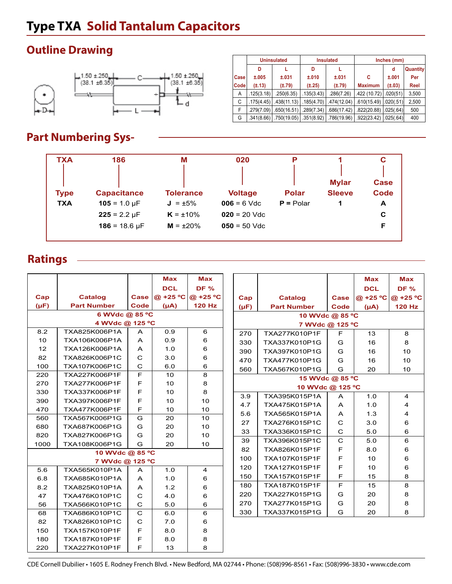### **Outline Drawing**



|      |            | <b>Uninsulated</b> |             | <b>Insulated</b> | Inches (mm)    |             |          |  |
|------|------------|--------------------|-------------|------------------|----------------|-------------|----------|--|
|      | D          |                    | D           |                  |                | d           | Quantity |  |
| Case | ±.005      | ±.031              | ±.010       | ±.031            | С              | ±.001       | Per      |  |
| Code | (±.13)     | $(\pm .79)$        | $(\pm .25)$ | $(\pm .79)$      | <b>Maximum</b> | $(\pm .03)$ | Reel     |  |
| A    | .125(3.18) | .250(6.35)         | .135(3.43)  | .286(7.26)       | .422 (10.72)   | .020(51)    | 3,500    |  |
| С    | .175(4.45) | .438(11.13)        | .185(4.70)  | .474(12.04)      | .610(15.49)    | .020(.51)   | 2,500    |  |
| F    | .279(7.09) | .650(16.51)        | .289(7.34)  | .686(17.42)      | .822(20.88)    | .025(.64)   | 500      |  |
| G    | .341(8.66) | .750(19.05)        | .351(8.92)  | .786(19.96)      | .922(23.42)    | .025(.64)   | 400      |  |

### **Part Numbering Sys-**

| <b>TXA</b>                | 186                                                                                | M              | 020                             | P                           | <b>Mylar</b>  | <b>Case</b>      |
|---------------------------|------------------------------------------------------------------------------------|----------------|---------------------------------|-----------------------------|---------------|------------------|
| <b>Type</b><br><b>TXA</b> | <b>Tolerance</b><br><b>Capacitance</b><br>$105 = 1.0 \,\text{µF}$<br>$J = \pm 5\%$ |                | <b>Voltage</b><br>$006 = 6$ Vdc | <b>Polar</b><br>$P =$ Polar | <b>Sleeve</b> | <b>Code</b><br>A |
|                           | $225 = 2.2 \mu F$                                                                  | $K = \pm 10\%$ | $020 = 20$ Vdc                  |                             |               | C                |
|                           | $186 = 18.6 \text{ µF}$                                                            | $M = \pm 20\%$ | $050 = 50$ Vdc                  |                             |               | F                |

#### **Ratings**

|                |                                |                   | <b>Max</b> | <b>Max</b>        |  |           |                    |              | <b>Max</b>      | <b>Max</b>     |  |  |
|----------------|--------------------------------|-------------------|------------|-------------------|--|-----------|--------------------|--------------|-----------------|----------------|--|--|
|                |                                |                   | <b>DCL</b> | <b>DF %</b>       |  |           |                    |              | <b>DCL</b>      | <b>DF %</b>    |  |  |
| Cap            | <b>Catalog</b>                 | <b>Case</b>       |            | @ +25 °C @ +25 °C |  | Cap       | <b>Catalog</b>     | Case         | @ +25 °C        | @ +25 °C       |  |  |
| $(\mu F)$      | <b>Part Number</b>             | Code              | (Au)       | <b>120 Hz</b>     |  | $(\mu F)$ | <b>Part Number</b> | Code         | $(\mu A)$       | <b>120 Hz</b>  |  |  |
| 6 WVdc @ 85 °C |                                |                   |            |                   |  |           | 10 WVdc @ 85 °C    |              |                 |                |  |  |
|                | 4 WVdc @ 125 °C                |                   |            |                   |  |           | 7 WVdc @ 125 °C    |              |                 |                |  |  |
| 8.2            | TXA825K006P1A                  | $\mathsf{A}$      | 0.9        | 6                 |  | 270       | TXA277K010P1F      | F            | 13              | 8              |  |  |
| 10             | TXA106K006P1A                  | A                 | 0.9        | 6                 |  | 330       | TXA337K010P1G      | G            | 16              | 8              |  |  |
| 12             | TXA126K006P1A                  | A                 | 1.0        | 6                 |  | 390       | TXA397K010P1G      | G            | 16              | 10             |  |  |
| 82             | TXA826K006P1C                  | C                 | 3.0        | 6                 |  | 470       | TXA477K010P1G      | G            | 16              | 10             |  |  |
| 100            | TXA107K006P1C                  | $\mathsf{C}$      | 6.0        | 6                 |  | 560       | TXA567K010P1G      | G            | 20              | 10             |  |  |
| 220            | TXA227K006P1F                  | F                 | 10         | 8                 |  |           |                    |              | 15 WVdc @ 85 °C |                |  |  |
| 270            | TXA277K006P1F                  | F                 | 10         | 8                 |  |           | 10 WVdc @ 125 °C   |              |                 |                |  |  |
| 330            | TXA337K006P1F                  | F                 | 10         | 8                 |  | 3.9       | TXA395K015P1A      | $\mathsf{A}$ | 1.0             | $\overline{4}$ |  |  |
| 390            | TXA397K006P1F                  | F                 | 10         | 10                |  | 4.7       | TXA475K015P1A      | A            | 1.0             | 4              |  |  |
| 470            | TXA477K006P1F                  | F                 | 10         | 10                |  | 5.6       | TXA565K015P1A      | A            | 1.3             | $\overline{4}$ |  |  |
| 560            | TXA567K006P1G                  | G                 | 20         | 10                |  | 27        | TXA276K015P1C      | C            | 3.0             | 6              |  |  |
| 680            | TXA687K006P1G                  | G                 | 20         | 10                |  | 33        | TXA336K015P1C      | $\mathbf C$  | 5.0             | 6              |  |  |
| 820            | TXA827K006P1G                  | G                 | 20         | 10                |  | 39        | TXA396K015P1C      | $\mathbf C$  | 5.0             | 6              |  |  |
| 1000           | TXA108K006P1G                  | G                 | 20         | 10                |  | 82        | TXA826K015P1F      | F            | 8.0             | 6              |  |  |
|                | 10 WVdc @ 85 °C                |                   |            |                   |  | 100       | TXA107K015P1F      | F            | 10              | 6              |  |  |
|                | 7 WVdc @ 125 °C                |                   |            |                   |  | 120       | TXA127K015P1F      | F            | 10              | 6              |  |  |
| 5.6            | TXA565K010P1A                  | $\overline{A}$    | 1.0        | 4                 |  | 150       | TXA157K015P1F      | F            | 15              | 8              |  |  |
| 6.8            | TXA685K010P1A                  | A                 | 1.0        | 6                 |  | 180       | TXA187K015P1F      | F            | 15              | 8              |  |  |
| 8.2<br>47      | TXA825K010P1A<br>TXA476K010P1C | A<br>$\mathsf{C}$ | 1.2        | 6                 |  | 220       | TXA227K015P1G      | G            | 20              | 8              |  |  |
| 56             | TXA566K010P1C                  | $\mathbf C$       | 4.0<br>5.0 | 6                 |  | 270       | TXA277K015P1G      | G            | 20              | 8              |  |  |
| 68             | TXA686K010P1C                  | $\mathbf C$       | 6.0        | 6<br>6            |  | 330       | TXA337K015P1G      | G            | 20              | 8              |  |  |
| 82             | TXA826K010P1C                  | $\mathbf C$       | 7.0        |                   |  |           |                    |              |                 |                |  |  |
|                |                                | F                 |            | 6                 |  |           |                    |              |                 |                |  |  |
| 150            | TXA157K010P1F                  |                   | 8.0        | 8                 |  |           |                    |              |                 |                |  |  |
| 180<br>220     | TXA187K010P1F<br>TXA227K010P1F | F<br>F            | 8.0<br>13  | 8<br>8            |  |           |                    |              |                 |                |  |  |
|                |                                |                   |            |                   |  |           |                    |              |                 |                |  |  |

CDE Cornell Dubilier • 1605 E. Rodney French Blvd. • New Bedford, MA 02744 • Phone: (508)996-8561 • Fax: (508)996-3830 • www.cde.com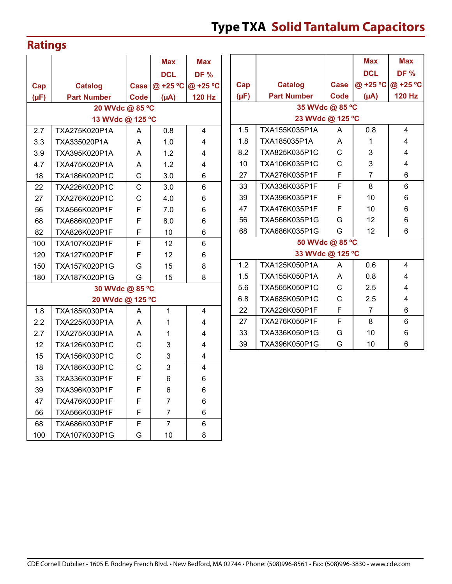### **Ratings**

|           |                    |             | <b>Max</b>      | <b>Max</b>    |           |                  |
|-----------|--------------------|-------------|-----------------|---------------|-----------|------------------|
|           |                    |             | <b>DCL</b>      | <b>DF %</b>   |           |                  |
| Cap       | <b>Catalog</b>     | <b>Case</b> | @ +25 °C        | @ +25 °C      | Cap       | Catalog          |
| $(\mu F)$ | <b>Part Number</b> | <b>Code</b> | $(\mu A)$       | <b>120 Hz</b> | $(\mu F)$ | <b>Part Numl</b> |
|           | 20 WVdc @ 85 °C    |             |                 |               |           | 35               |
|           | 13 WVdc @ 125 °C   |             |                 |               |           | 23               |
| 2.7       | TXA275K020P1A      | A           | 0.8             | 4             | 1.5       | TXA155K035       |
| 3.3       | TXA335020P1A       | A           | 1.0             | 4             | 1.8       | TXA185035P       |
| 3.9       | TXA395K020P1A      | A           | 1.2             | 4             | 8.2       | TXA825K035       |
| 4.7       | TXA475K020P1A      | A           | 1.2             | 4             | 10        | TXA106K035       |
| 18        | TXA186K020P1C      | C           | 3.0             | 6             | 27        | TXA276K035       |
| 22        | TXA226K020P1C      | $\mathsf C$ | 3.0             | 6             | 33        | TXA336K035       |
| 27        | TXA276K020P1C      | C           | 4.0             | 6             | 39        | TXA396K035       |
| 56        | TXA566K020P1F      | F           | 7.0             | 6             | 47        | TXA476K035       |
| 68        | TXA686K020P1F      | F           | 8.0             | 6             | 56        | TXA566K035       |
| 82        | TXA826K020P1F      | F           | 10              | 6             | 68        | TXA686K035       |
| 100       | TXA107K020P1F      | F           | 12              | 6             |           | 50               |
| 120       | TXA127K020P1F      | F           | 12 <sup>2</sup> | 6             |           | 33               |
| 150       | TXA157K020P1G      | G           | 15              | 8             | 1.2       | TXA125K050       |
| 180       | TXA187K020P1G      | G           | 15              | 8             | 1.5       | TXA155K050       |
|           | 30 WVdc @ 85 °C    |             |                 |               | 5.6       | TXA565K050       |
|           | 20 WVdc @ 125 °C   |             |                 |               | 6.8       | TXA685K050       |
| 1.8       | TXA185K030P1A      | A           | 1               | 4             | 22        | TXA226K050       |
| 2.2       | TXA225K030P1A      | A           | 1               | 4             | 27        | TXA276K050       |
| 2.7       | TXA275K030P1A      | A           | 1               | 4             | 33        | TXA336K050       |
| 12        | TXA126K030P1C      | $\mathsf C$ | 3               | 4             | 39        | TXA396K050       |
| 15        | TXA156K030P1C      | C           | 3               | 4             |           |                  |
| 18        | TXA186K030P1C      | $\mathsf C$ | 3               | 4             |           |                  |
| 33        | TXA336K030P1F      | F           | 6               | 6             |           |                  |
| 39        | TXA396K030P1F      | F           | 6               | 6             |           |                  |
| 47        | TXA476K030P1F      | F           | 7               | 6             |           |                  |
| 56        | TXA566K030P1F      | F           | 7               | 6             |           |                  |
| 68        | TXA686K030P1F      | F           | $\overline{7}$  | 6             |           |                  |
| 100       | TXA107K030P1G      | G           | 10              | 8             |           |                  |
|           |                    |             |                 |               |           |                  |

|                  |                    |      | <b>Max</b>     | <b>Max</b>    |  |  |  |  |  |  |  |
|------------------|--------------------|------|----------------|---------------|--|--|--|--|--|--|--|
|                  |                    |      | <b>DCL</b>     | <b>DF %</b>   |  |  |  |  |  |  |  |
| Cap              | <b>Catalog</b>     | Case | @ +25 °C       | @ +25 °C      |  |  |  |  |  |  |  |
| $(\mu F)$        | <b>Part Number</b> | Code | $(\mu A)$      | <b>120 Hz</b> |  |  |  |  |  |  |  |
| 35 WVdc @ 85 °C  |                    |      |                |               |  |  |  |  |  |  |  |
| 23 WVdc @ 125 °C |                    |      |                |               |  |  |  |  |  |  |  |
| 1.5              | TXA155K035P1A      | A    | 0.8            | 4             |  |  |  |  |  |  |  |
| 1.8              | TXA185035P1A       | A    | 1              | 4             |  |  |  |  |  |  |  |
| 8.2              | TXA825K035P1C      | Ć    | 3              | 4             |  |  |  |  |  |  |  |
| 10               | TXA106K035P1C      | С    | 3              | 4             |  |  |  |  |  |  |  |
| 27               | TXA276K035P1F      | F    | 7              | 6             |  |  |  |  |  |  |  |
| 33               | TXA336K035P1F      | F    | 8              | 6             |  |  |  |  |  |  |  |
| 39               | TXA396K035P1F      | F    | 10             | 6             |  |  |  |  |  |  |  |
| 47               | TXA476K035P1F      | F    | 10             | 6             |  |  |  |  |  |  |  |
| 56               | TXA566K035P1G      | G    | 12             | 6             |  |  |  |  |  |  |  |
| 68               | TXA686K035P1G      | G    | 12             | 6             |  |  |  |  |  |  |  |
|                  | 50 WVdc @ 85 °C    |      |                |               |  |  |  |  |  |  |  |
|                  | 33 WVdc @ 125 °C   |      |                |               |  |  |  |  |  |  |  |
| 1.2              | TXA125K050P1A      | A    | 0.6            | 4             |  |  |  |  |  |  |  |
| 1.5              | TXA155K050P1A      | Α    | 0.8            | 4             |  |  |  |  |  |  |  |
| 5.6              | TXA565K050P1C      | C    | 2.5            | 4             |  |  |  |  |  |  |  |
| 6.8              | TXA685K050P1C      | Ċ    | 2.5            | 4             |  |  |  |  |  |  |  |
| 22               | TXA226K050P1F      | F    | $\overline{7}$ | 6             |  |  |  |  |  |  |  |
| 27               | TXA276K050P1F      | F    | 8              | 6             |  |  |  |  |  |  |  |
| 33               | TXA336K050P1G      | G    | 10             | 6             |  |  |  |  |  |  |  |
| 39               | TXA396K050P1G      | G    | 10             | 6             |  |  |  |  |  |  |  |